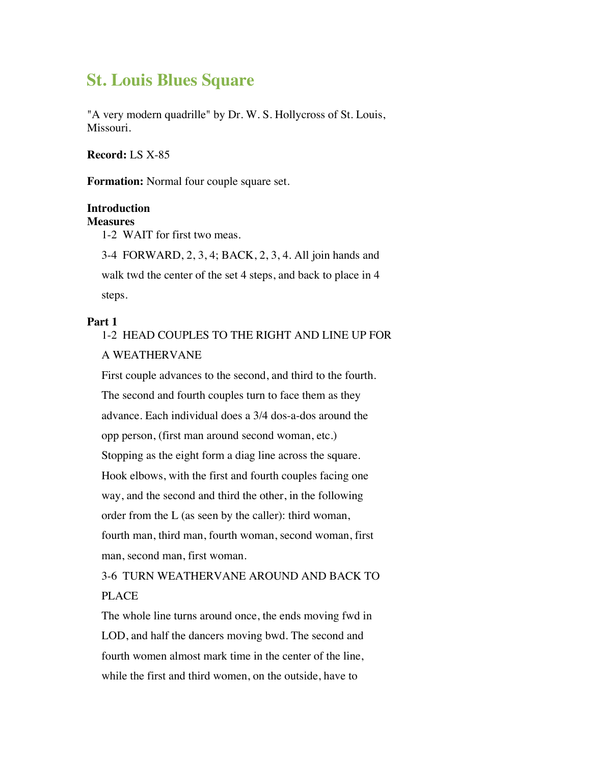# **St. Louis Blues Square**

"A very modern quadrille" by Dr. W. S. Hollycross of St. Louis, Missouri.

**Record:** LS X-85

**Formation:** Normal four couple square set.

#### **Introduction**

#### **Measures**

1-2 WAIT for first two meas.

3-4 FORWARD, 2, 3, 4; BACK, 2, 3, 4. All join hands and walk twd the center of the set 4 steps, and back to place in 4 steps.

#### **Part 1**

## 1-2 HEAD COUPLES TO THE RIGHT AND LINE UP FOR A WEATHERVANE

First couple advances to the second, and third to the fourth. The second and fourth couples turn to face them as they advance. Each individual does a 3/4 dos-a-dos around the opp person, (first man around second woman, etc.) Stopping as the eight form a diag line across the square. Hook elbows, with the first and fourth couples facing one way, and the second and third the other, in the following order from the L (as seen by the caller): third woman, fourth man, third man, fourth woman, second woman, first man, second man, first woman.

3-6 TURN WEATHERVANE AROUND AND BACK TO PLACE

The whole line turns around once, the ends moving fwd in LOD, and half the dancers moving bwd. The second and fourth women almost mark time in the center of the line, while the first and third women, on the outside, have to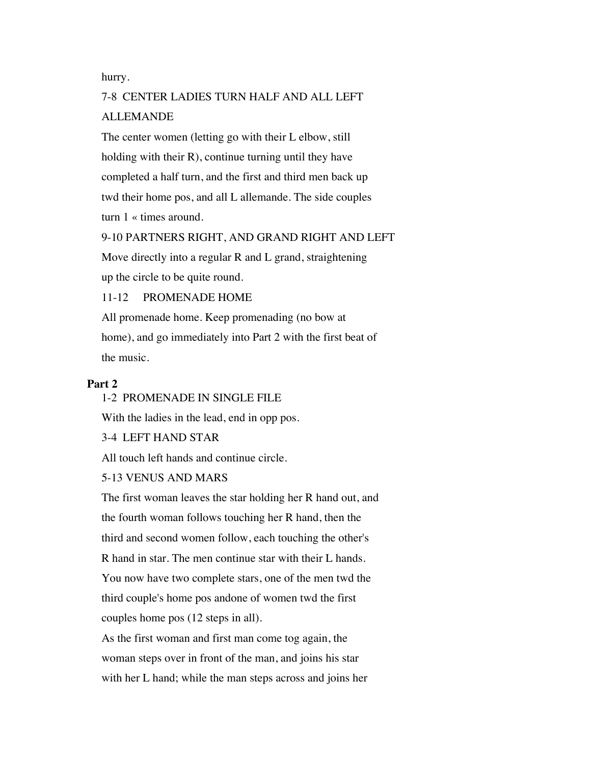hurry.

## 7-8 CENTER LADIES TURN HALF AND ALL LEFT ALLEMANDE

The center women (letting go with their L elbow, still holding with their  $R$ ), continue turning until they have completed a half turn, and the first and third men back up twd their home pos, and all L allemande. The side couples turn 1 « times around.

#### 9-10 PARTNERS RIGHT, AND GRAND RIGHT AND LEFT

Move directly into a regular R and L grand, straightening up the circle to be quite round.

11-12 PROMENADE HOME

All promenade home. Keep promenading (no bow at home), and go immediately into Part 2 with the first beat of the music.

### **Part 2**

#### 1-2 PROMENADE IN SINGLE FILE

With the ladies in the lead, end in opp pos.

3-4 LEFT HAND STAR

All touch left hands and continue circle.

5-13 VENUS AND MARS

The first woman leaves the star holding her R hand out, and the fourth woman follows touching her R hand, then the third and second women follow, each touching the other's R hand in star. The men continue star with their L hands. You now have two complete stars, one of the men twd the third couple's home pos andone of women twd the first couples home pos (12 steps in all).

As the first woman and first man come tog again, the woman steps over in front of the man, and joins his star with her L hand; while the man steps across and joins her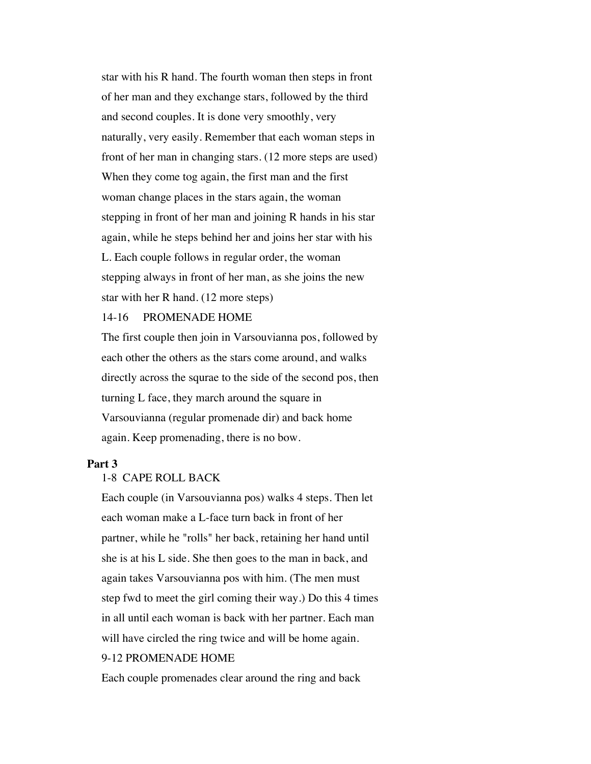star with his R hand. The fourth woman then steps in front of her man and they exchange stars, followed by the third and second couples. It is done very smoothly, very naturally, very easily. Remember that each woman steps in front of her man in changing stars. (12 more steps are used) When they come tog again, the first man and the first woman change places in the stars again, the woman stepping in front of her man and joining R hands in his star again, while he steps behind her and joins her star with his L. Each couple follows in regular order, the woman stepping always in front of her man, as she joins the new star with her R hand. (12 more steps)

#### 14-16 PROMENADE HOME

The first couple then join in Varsouvianna pos, followed by each other the others as the stars come around, and walks directly across the squrae to the side of the second pos, then turning L face, they march around the square in Varsouvianna (regular promenade dir) and back home again. Keep promenading, there is no bow.

#### **Part 3**

### 1-8 CAPE ROLL BACK

Each couple (in Varsouvianna pos) walks 4 steps. Then let each woman make a L-face turn back in front of her partner, while he "rolls" her back, retaining her hand until she is at his L side. She then goes to the man in back, and again takes Varsouvianna pos with him. (The men must step fwd to meet the girl coming their way.) Do this 4 times in all until each woman is back with her partner. Each man will have circled the ring twice and will be home again.

### 9-12 PROMENADE HOME

Each couple promenades clear around the ring and back